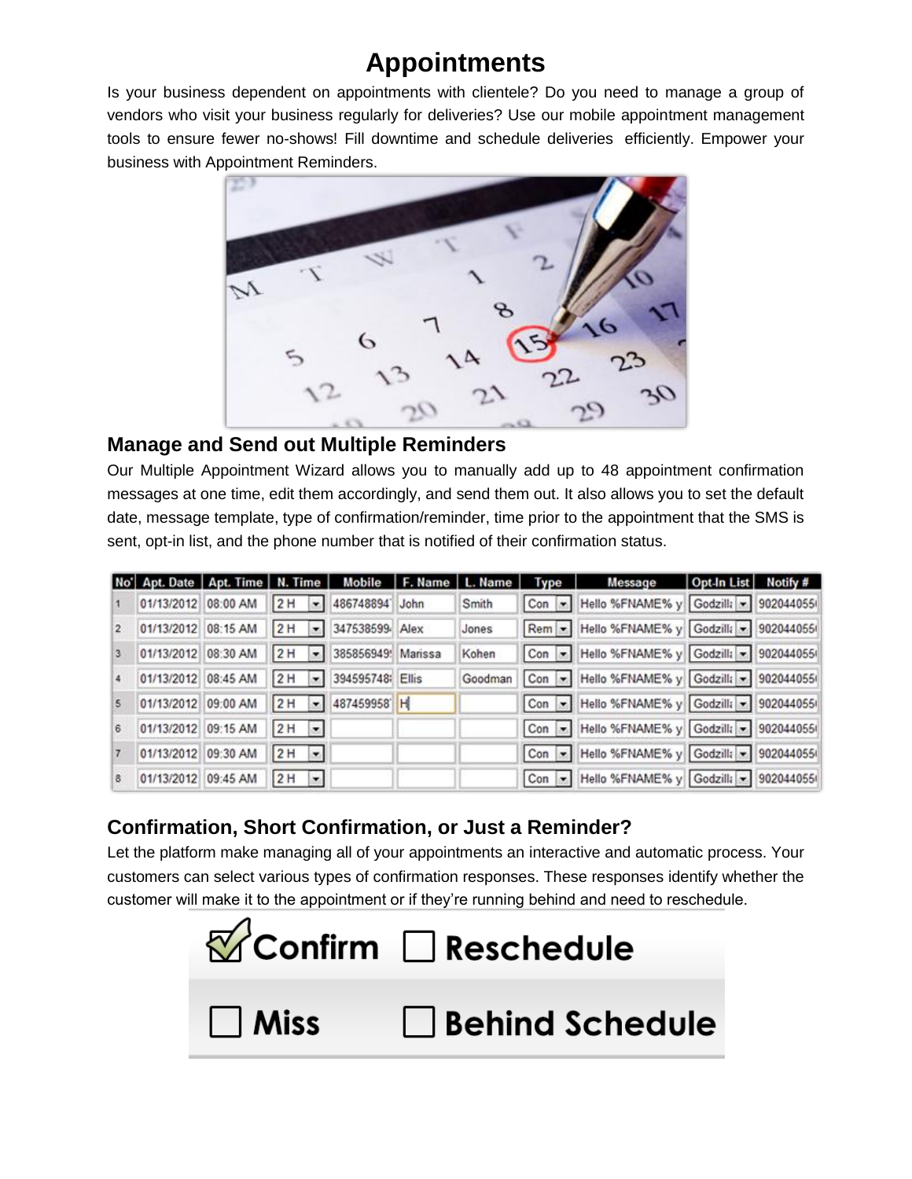# **Appointments**

Is your business dependent on appointments with clientele? Do you need to manage a group of vendors who visit your business regularly for deliveries? Use our mobile appointment management tools to ensure fewer no-shows! Fill downtime and schedule deliveries efficiently. Empower your business with Appointment Reminders.



#### **Manage and Send out Multiple Reminders**

Our Multiple Appointment Wizard allows you to manually add up to 48 appointment confirmation messages at one time, edit them accordingly, and send them out. It also allows you to set the default date, message template, type of confirmation/reminder, time prior to the appointment that the SMS is sent, opt-in list, and the phone number that is notified of their confirmation status.

|              |                     |          | No' Apt. Date   Apt. Time   N. Time   Mobile   F. Name   L. Name |         | <b>Type</b> | Message                                    | Opt-In List Notify # |  |
|--------------|---------------------|----------|------------------------------------------------------------------|---------|-------------|--------------------------------------------|----------------------|--|
|              | 01/13/2012 08:00 AM |          | 2H - 486748894 John                                              | Smith   |             | Con - Hello %FNAME% y Godzilla - 902044055 |                      |  |
| $\mathbf{z}$ | 01/13/2012 08:15 AM |          | 2 H - 347538599 Alex                                             | Jones   |             | Rem - Hello %FNAME% y Godzilla - 902044055 |                      |  |
| 3            | 01/13/2012 08:30 AM |          | 2 H - 385856949 Marissa                                          | Kohen   |             | Con • Hello %FNAME% y Godzilla • 902044055 |                      |  |
|              | 01/13/2012 08:45 AM |          | 2 H - 394595748 Ellis                                            | Goodman |             | Con - Hello %FNAME% y Godzilla - 902044055 |                      |  |
| 5            | 01/13/2012 09:00 AM |          | 2H - 487459958 H                                                 |         |             | Con - Hello %FNAME% y Godzilla - 902044055 |                      |  |
| 6            | 01/13/2012 09:15 AM | $2H - 1$ |                                                                  |         |             | Con • Hello %FNAME% y Godzilla • 902044055 |                      |  |
|              | 01/13/2012 09:30 AM | $2H -$   |                                                                  |         |             | Con - Hello %FNAME% y Godzilla - 902044055 |                      |  |
| 8            | 01/13/2012 09:45 AM | $2H -$   |                                                                  |         |             | Con   Hello %FNAME% y Godzilla   902044055 |                      |  |

## **Confirmation, Short Confirmation, or Just a Reminder?**

Let the platform make managing all of your appointments an interactive and automatic process. Your customers can select various types of confirmation responses. These responses identify whether the customer will make it to the appointment or if they're running behind and need to reschedule.